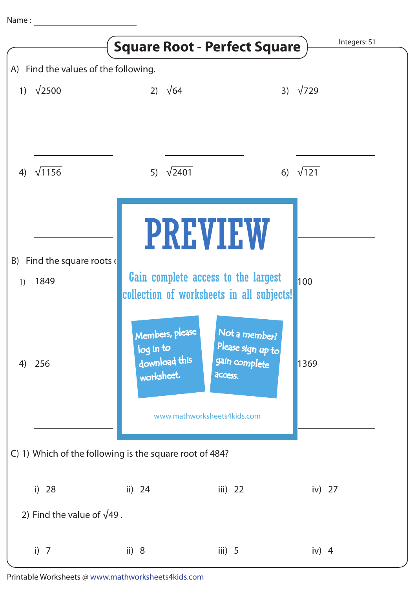|                                                         |                                             | <b>Square Root - Perfect Square</b>                                                    |                                                                                  | Integers: S1 |
|---------------------------------------------------------|---------------------------------------------|----------------------------------------------------------------------------------------|----------------------------------------------------------------------------------|--------------|
| A) Find the values of the following.                    |                                             |                                                                                        |                                                                                  |              |
| $\left( \begin{array}{c} 1 \end{array} \right)$         | $\sqrt{2500}$                               | 2) $\sqrt{64}$                                                                         | 3)                                                                               | $\sqrt{729}$ |
| 4)                                                      | $\sqrt{1156}$                               | $\sqrt{2401}$<br>5)                                                                    | 6)                                                                               | $\sqrt{121}$ |
|                                                         |                                             |                                                                                        | <b>PREVIEW</b>                                                                   |              |
| 1)                                                      | B) Find the square roots $\epsilon$<br>1849 |                                                                                        | Gain complete access to the largest<br>collection of worksheets in all subjects! | 100          |
| 4)                                                      | 256                                         | Members, please<br>log in to                                                           | Not a member?<br>Please sign up to                                               |              |
|                                                         |                                             | download this<br>gain complete<br>worksheet.<br>access.<br>www.mathworksheets4kids.com |                                                                                  | 1369         |
| C) 1) Which of the following is the square root of 484? |                                             |                                                                                        |                                                                                  |              |
|                                                         | i) $28$                                     | ii) $24$                                                                               | iii) $22$                                                                        | iv) $27$     |
| 2) Find the value of $\sqrt{49}$ .                      |                                             |                                                                                        |                                                                                  |              |
|                                                         | i) $7$                                      | ii) $8$                                                                                | iii) $5$                                                                         | iv) $4$      |

Printable Worksheets @ www.mathworksheets4kids.com